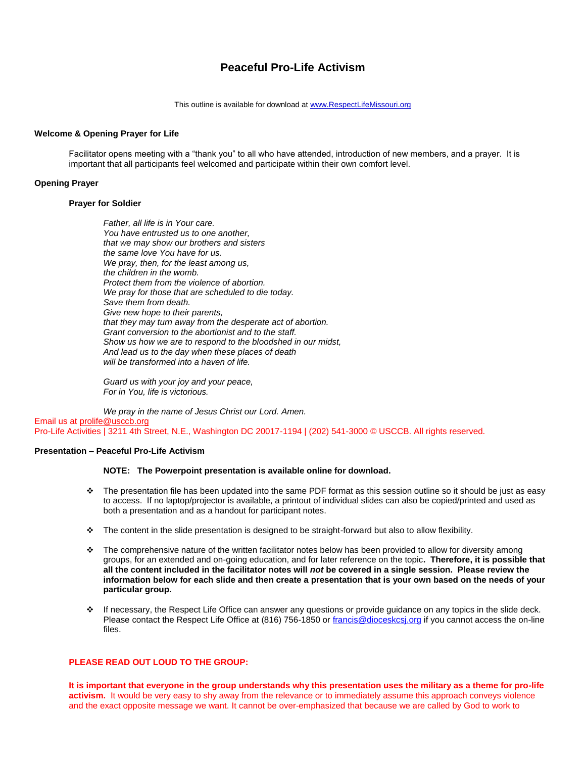# **Peaceful Pro-Life Activism**

This outline is available for download at [www.RespectLifeMissouri.org](http://www.respectlifemissouri.org/)

## **Welcome & Opening Prayer for Life**

Facilitator opens meeting with a "thank you" to all who have attended, introduction of new members, and a prayer. It is important that all participants feel welcomed and participate within their own comfort level.

## **Opening Prayer**

## **Prayer for Soldier**

*Father, all life is in Your care. You have entrusted us to one another, that we may show our brothers and sisters the same love You have for us. We pray, then, for the least among us, the children in the womb. Protect them from the violence of abortion. We pray for those that are scheduled to die today. Save them from death. Give new hope to their parents, that they may turn away from the desperate act of abortion. Grant conversion to the abortionist and to the staff. Show us how we are to respond to the bloodshed in our midst, And lead us to the day when these places of death will be transformed into a haven of life.*

*Guard us with your joy and your peace, For in You, life is victorious.*

*We pray in the name of Jesus Christ our Lord. Amen.* Email us at [prolife@usccb.org](mailto:prolife@usccb.org) Pro-Life Activities | 3211 4th Street, N.E., Washington DC 20017-1194 | (202) 541-3000 © USCCB. All rights reserved.

## **Presentation – Peaceful Pro-Life Activism**

#### **NOTE: The Powerpoint presentation is available online for download.**

- $\bullet$  The presentation file has been updated into the same PDF format as this session outline so it should be just as easy to access. If no laptop/projector is available, a printout of individual slides can also be copied/printed and used as both a presentation and as a handout for participant notes.
- The content in the slide presentation is designed to be straight-forward but also to allow flexibility.
- $\cdot \cdot$  The comprehensive nature of the written facilitator notes below has been provided to allow for diversity among groups, for an extended and on-going education, and for later reference on the topic**. Therefore, it is possible that all the content included in the facilitator notes will** *not* **be covered in a single session. Please review the information below for each slide and then create a presentation that is your own based on the needs of your particular group.**
- If necessary, the Respect Life Office can answer any questions or provide guidance on any topics in the slide deck. Please contact the Respect Life Office at (816) 756-1850 o[r francis@dioceskcsj.org](mailto:francis@dioceskcsj.org) if you cannot access the on-line files.

# **PLEASE READ OUT LOUD TO THE GROUP:**

**It is important that everyone in the group understands why this presentation uses the military as a theme for pro-life activism.** It would be very easy to shy away from the relevance or to immediately assume this approach conveys violence and the exact opposite message we want. It cannot be over-emphasized that because we are called by God to work to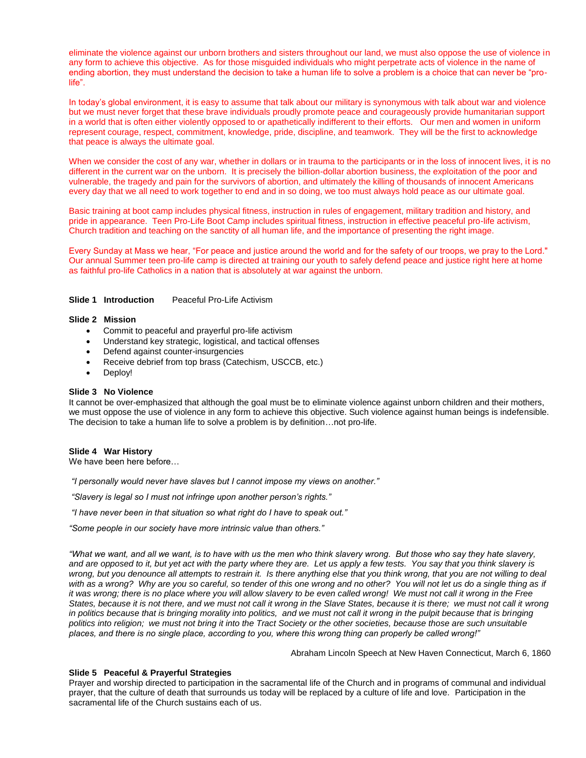eliminate the violence against our unborn brothers and sisters throughout our land, we must also oppose the use of violence in any form to achieve this objective. As for those misguided individuals who might perpetrate acts of violence in the name of ending abortion, they must understand the decision to take a human life to solve a problem is a choice that can never be "prolife".

In today's global environment, it is easy to assume that talk about our military is synonymous with talk about war and violence but we must never forget that these brave individuals proudly promote peace and courageously provide humanitarian support in a world that is often either violently opposed to or apathetically indifferent to their efforts. Our men and women in uniform represent courage, respect, commitment, knowledge, pride, discipline, and teamwork. They will be the first to acknowledge that peace is always the ultimate goal.

When we consider the cost of any war, whether in dollars or in trauma to the participants or in the loss of innocent lives, it is no different in the current war on the unborn. It is precisely the billion-dollar abortion business, the exploitation of the poor and vulnerable, the tragedy and pain for the survivors of abortion, and ultimately the killing of thousands of innocent Americans every day that we all need to work together to end and in so doing, we too must always hold peace as our ultimate goal.

Basic training at boot camp includes physical fitness, instruction in rules of engagement, military tradition and history, and pride in appearance. Teen Pro-Life Boot Camp includes spiritual fitness, instruction in effective peaceful pro-life activism, Church tradition and teaching on the sanctity of all human life, and the importance of presenting the right image.

Every Sunday at Mass we hear, "For peace and justice around the world and for the safety of our troops, we pray to the Lord." Our annual Summer teen pro-life camp is directed at training our youth to safely defend peace and justice right here at home as faithful pro-life Catholics in a nation that is absolutely at war against the unborn.

# **Slide 1 Introduction** Peaceful Pro-Life Activism

#### **Slide 2 Mission**

- Commit to peaceful and prayerful pro-life activism
- Understand key strategic, logistical, and tactical offenses
- Defend against counter-insurgencies
- Receive debrief from top brass (Catechism, USCCB, etc.)
- Deploy!

#### **Slide 3 No Violence**

It cannot be over-emphasized that although the goal must be to eliminate violence against unborn children and their mothers, we must oppose the use of violence in any form to achieve this objective. Such violence against human beings is indefensible. The decision to take a human life to solve a problem is by definition…not pro-life.

#### **Slide 4 War History**

We have been here before…

*"I personally would never have slaves but I cannot impose my views on another."*

*"Slavery is legal so I must not infringe upon another person's rights."*

*"I have never been in that situation so what right do I have to speak out."*

*"Some people in our society have more intrinsic value than others."*

*"What we want, and all we want, is to have with us the men who think slavery wrong. But those who say they hate slavery, and are opposed to it, but yet act with the party where they are. Let us apply a few tests. You say that you think slavery is wrong, but you denounce all attempts to restrain it. Is there anything else that you think wrong, that you are not willing to deal with as a wrong? Why are you so careful, so tender of this one wrong and no other? You will not let us do a single thing as if it was wrong; there is no place where you will allow slavery to be even called wrong! We must not call it wrong in the Free*  States, because it is not there, and we must not call it wrong in the Slave States, because it is there; we must not call it wrong *in politics because that is bringing morality into politics, and we must not call it wrong in the pulpit because that is bringing politics into religion; we must not bring it into the Tract Society or the other societies, because those are such unsuitable places, and there is no single place, according to you, where this wrong thing can properly be called wrong!"* 

Abraham Lincoln Speech at New Haven Connecticut, March 6, 1860

### **Slide 5 Peaceful & Prayerful Strategies**

Prayer and worship directed to participation in the sacramental life of the Church and in programs of communal and individual prayer, that the culture of death that surrounds us today will be replaced by a culture of life and love. Participation in the sacramental life of the Church sustains each of us.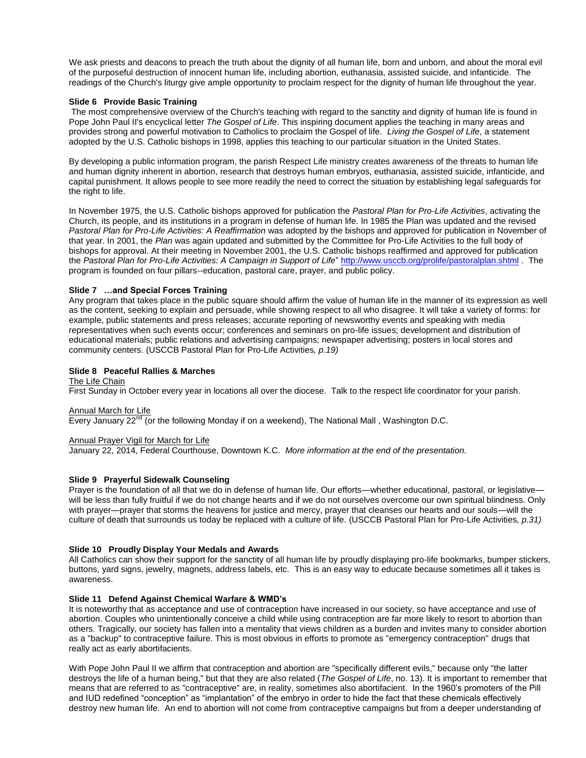We ask priests and deacons to preach the truth about the dignity of all human life, born and unborn, and about the moral evil of the purposeful destruction of innocent human life, including abortion, euthanasia, assisted suicide, and infanticide. The readings of the Church's liturgy give ample opportunity to proclaim respect for the dignity of human life throughout the year.

# **Slide 6 Provide Basic Training**

The most comprehensive overview of the Church's teaching with regard to the sanctity and dignity of human life is found in Pope John Paul II's encyclical letter *The Gospel of Life*. This inspiring document applies the teaching in many areas and provides strong and powerful motivation to Catholics to proclaim the Gospel of life. *Living the Gospel of Life*, a statement adopted by the U.S. Catholic bishops in 1998, applies this teaching to our particular situation in the United States.

By developing a public information program, the parish Respect Life ministry creates awareness of the threats to human life and human dignity inherent in abortion, research that destroys human embryos, euthanasia, assisted suicide, infanticide, and capital punishment. It allows people to see more readily the need to correct the situation by establishing legal safeguards for the right to life.

In November 1975, the U.S. Catholic bishops approved for publication the *Pastoral Plan for Pro-Life Activities*, activating the Church, its people, and its institutions in a program in defense of human life. In 1985 the Plan was updated and the revised *Pastoral Plan for Pro-Life Activities: A Reaffirmation* was adopted by the bishops and approved for publication in November of that year. In 2001, the *Plan* was again updated and submitted by the Committee for Pro-Life Activities to the full body of bishops for approval. At their meeting in November 2001, the U.S. Catholic bishops reaffirmed and approved for publication the *Pastoral Plan for Pro-Life Activities: A Campaign in Support of Life*"<http://www.usccb.org/prolife/pastoralplan.shtml> . The program is founded on four pillars--education, pastoral care, prayer, and public policy.

## **Slide 7 …and Special Forces Training**

Any program that takes place in the public square should affirm the value of human life in the manner of its expression as well as the content, seeking to explain and persuade, while showing respect to all who disagree. It will take a variety of forms: for example, public statements and press releases; accurate reporting of newsworthy events and speaking with media representatives when such events occur; conferences and seminars on pro-life issues; development and distribution of educational materials; public relations and advertising campaigns; newspaper advertising; posters in local stores and community centers. (USCCB Pastoral Plan for Pro-Life Activities*, p.19)*

## **Slide 8 Peaceful Rallies & Marches**

The Life Chain First Sunday in October every year in locations all over the diocese. Talk to the respect life coordinator for your parish.

#### Annual March for Life

Every January  $22<sup>nd</sup>$  (or the following Monday if on a weekend), The National Mall, Washington D.C.

#### Annual Prayer Vigil for March for Life

January 22, 2014, Federal Courthouse, Downtown K.C. *More information at the end of the presentation.*

# **Slide 9 Prayerful Sidewalk Counseling**

Prayer is the foundation of all that we do in defense of human life. Our efforts—whether educational, pastoral, or legislative will be less than fully fruitful if we do not change hearts and if we do not ourselves overcome our own spiritual blindness. Only with prayer—prayer that storms the heavens for justice and mercy, prayer that cleanses our hearts and our souls—will the culture of death that surrounds us today be replaced with a culture of life. (USCCB Pastoral Plan for Pro-Life Activities*, p.31)*

#### **Slide 10 Proudly Display Your Medals and Awards**

All Catholics can show their support for the sanctity of all human life by proudly displaying pro-life bookmarks, bumper stickers, buttons, yard signs, jewelry, magnets, address labels, etc. This is an easy way to educate because sometimes all it takes is awareness.

# **Slide 11 Defend Against Chemical Warfare & WMD's**

It is noteworthy that as acceptance and use of contraception have increased in our society, so have acceptance and use of abortion. Couples who unintentionally conceive a child while using contraception are far more likely to resort to abortion than others. Tragically, our society has fallen into a mentality that views children as a burden and invites many to consider abortion as a "backup" to contraceptive failure. This is most obvious in efforts to promote as "emergency contraception" drugs that really act as early abortifacients.

With Pope John Paul II we affirm that contraception and abortion are "specifically different evils," because only "the latter destroys the life of a human being," but that they are also related (*The Gospel of Life*, no. 13). It is important to remember that means that are referred to as "contraceptive" are, in reality, sometimes also abortifacient. In the 1960's promoters of the Pill and IUD redefined "conception" as "implantation" of the embryo in order to hide the fact that these chemicals effectively destroy new human life. An end to abortion will not come from contraceptive campaigns but from a deeper understanding of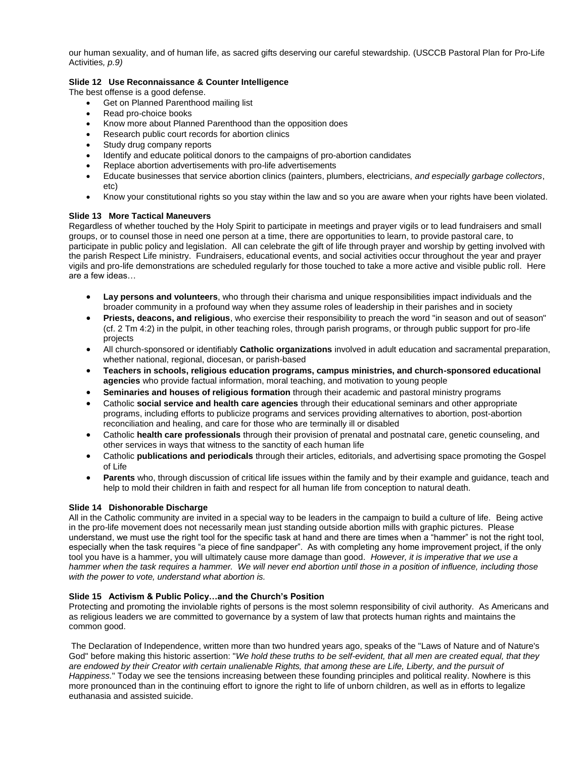our human sexuality, and of human life, as sacred gifts deserving our careful stewardship. (USCCB Pastoral Plan for Pro-Life Activities*, p.9)*

# **Slide 12 Use Reconnaissance & Counter Intelligence**

The best offense is a good defense.

- Get on Planned Parenthood mailing list
- Read pro-choice books
- Know more about Planned Parenthood than the opposition does
- Research public court records for abortion clinics
- Study drug company reports
- Identify and educate political donors to the campaigns of pro-abortion candidates
- Replace abortion advertisements with pro-life advertisements
- Educate businesses that service abortion clinics (painters, plumbers, electricians, *and especially garbage collectors*, etc)
- Know your constitutional rights so you stay within the law and so you are aware when your rights have been violated.

# **Slide 13 More Tactical Maneuvers**

Regardless of whether touched by the Holy Spirit to participate in meetings and prayer vigils or to lead fundraisers and small groups, or to counsel those in need one person at a time, there are opportunities to learn, to provide pastoral care, to participate in public policy and legislation. All can celebrate the gift of life through prayer and worship by getting involved with the parish Respect Life ministry. Fundraisers, educational events, and social activities occur throughout the year and prayer vigils and pro-life demonstrations are scheduled regularly for those touched to take a more active and visible public roll. Here are a few ideas…

- **Lay persons and volunteers**, who through their charisma and unique responsibilities impact individuals and the broader community in a profound way when they assume roles of leadership in their parishes and in society
- **Priests, deacons, and religious**, who exercise their responsibility to preach the word "in season and out of season" (cf. 2 Tm 4:2) in the pulpit, in other teaching roles, through parish programs, or through public support for pro-life projects
- All church-sponsored or identifiably **Catholic organizations** involved in adult education and sacramental preparation, whether national, regional, diocesan, or parish-based
- **Teachers in schools, religious education programs, campus ministries, and church-sponsored educational agencies** who provide factual information, moral teaching, and motivation to young people
- **Seminaries and houses of religious formation** through their academic and pastoral ministry programs
- Catholic **social service and health care agencies** through their educational seminars and other appropriate programs, including efforts to publicize programs and services providing alternatives to abortion, post-abortion reconciliation and healing, and care for those who are terminally ill or disabled
- Catholic **health care professionals** through their provision of prenatal and postnatal care, genetic counseling, and other services in ways that witness to the sanctity of each human life
- Catholic **publications and periodicals** through their articles, editorials, and advertising space promoting the Gospel of Life
- **Parents** who, through discussion of critical life issues within the family and by their example and guidance, teach and help to mold their children in faith and respect for all human life from conception to natural death.

# **Slide 14 Dishonorable Discharge**

All in the Catholic community are invited in a special way to be leaders in the campaign to build a culture of life. Being active in the pro-life movement does not necessarily mean just standing outside abortion mills with graphic pictures. Please understand, we must use the right tool for the specific task at hand and there are times when a "hammer" is not the right tool, especially when the task requires "a piece of fine sandpaper". As with completing any home improvement project, if the only tool you have is a hammer, you will ultimately cause more damage than good. *However, it is imperative that we use a hammer when the task requires a hammer. We will never end abortion until those in a position of influence, including those with the power to vote, understand what abortion is.*

# **Slide 15 Activism & Public Policy…and the Church's Position**

Protecting and promoting the inviolable rights of persons is the most solemn responsibility of civil authority. As Americans and as religious leaders we are committed to governance by a system of law that protects human rights and maintains the common good.

The Declaration of Independence, written more than two hundred years ago, speaks of the "Laws of Nature and of Nature's God" before making this historic assertion: "*We hold these truths to be self-evident, that all men are created equal, that they are endowed by their Creator with certain unalienable Rights, that among these are Life, Liberty, and the pursuit of Happiness.*" Today we see the tensions increasing between these founding principles and political reality. Nowhere is this more pronounced than in the continuing effort to ignore the right to life of unborn children, as well as in efforts to legalize euthanasia and assisted suicide.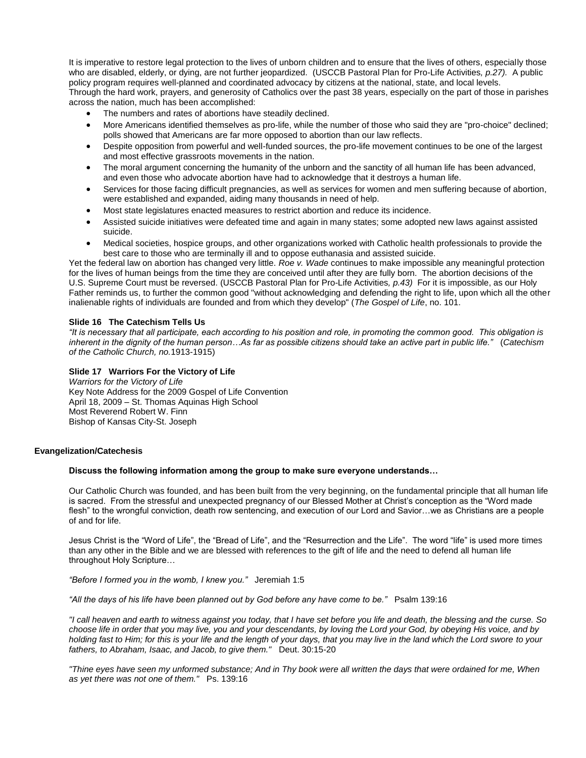It is imperative to restore legal protection to the lives of unborn children and to ensure that the lives of others, especially those who are disabled, elderly, or dying, are not further jeopardized. (USCCB Pastoral Plan for Pro-Life Activities*, p.27).* A public policy program requires well-planned and coordinated advocacy by citizens at the national, state, and local levels. Through the hard work, prayers, and generosity of Catholics over the past 38 years, especially on the part of those in parishes

across the nation, much has been accomplished:

- The numbers and rates of abortions have steadily declined.
- More Americans identified themselves as pro-life, while the number of those who said they are "pro-choice" declined; polls showed that Americans are far more opposed to abortion than our law reflects.
- Despite opposition from powerful and well-funded sources, the pro-life movement continues to be one of the largest and most effective grassroots movements in the nation.
- The moral argument concerning the humanity of the unborn and the sanctity of all human life has been advanced, and even those who advocate abortion have had to acknowledge that it destroys a human life.
- Services for those facing difficult pregnancies, as well as services for women and men suffering because of abortion, were established and expanded, aiding many thousands in need of help.
- Most state legislatures enacted measures to restrict abortion and reduce its incidence.
- Assisted suicide initiatives were defeated time and again in many states; some adopted new laws against assisted suicide.
- Medical societies, hospice groups, and other organizations worked with Catholic health professionals to provide the best care to those who are terminally ill and to oppose euthanasia and assisted suicide.

Yet the federal law on abortion has changed very little. *Roe v. Wade* continues to make impossible any meaningful protection for the lives of human beings from the time they are conceived until after they are fully born. The abortion decisions of the U.S. Supreme Court must be reversed. (USCCB Pastoral Plan for Pro-Life Activities*, p.43)* For it is impossible, as our Holy Father reminds us, to further the common good "without acknowledging and defending the right to life, upon which all the other inalienable rights of individuals are founded and from which they develop" (*The Gospel of Life*, no. 101.

#### **Slide 16 The Catechism Tells Us**

*"It is necessary that all participate, each according to his position and role, in promoting the common good. This obligation is inherent in the dignity of the human person…As far as possible citizens should take an active part in public life."* (*Catechism of the Catholic Church, no.*1913-1915)

## **Slide 17 Warriors For the Victory of Life**

*Warriors for the Victory of Life* Key Note Address for the 2009 Gospel of Life Convention April 18, 2009 – St. Thomas Aquinas High School Most Reverend Robert W. Finn Bishop of Kansas City-St. Joseph

## **Evangelization/Catechesis**

# **Discuss the following information among the group to make sure everyone understands…**

Our Catholic Church was founded, and has been built from the very beginning, on the fundamental principle that all human life is sacred. From the stressful and unexpected pregnancy of our Blessed Mother at Christ's conception as the "Word made flesh" to the wrongful conviction, death row sentencing, and execution of our Lord and Savior...we as Christians are a people of and for life.

Jesus Christ is the "Word of Life", the "Bread of Life", and the "Resurrection and the Life". The word "life" is used more times than any other in the Bible and we are blessed with references to the gift of life and the need to defend all human life throughout Holy Scripture…

*"Before I formed you in the womb, I knew you."* Jeremiah 1:5

*"All the days of his life have been planned out by God before any have come to be."* Psalm 139:16

*"I call heaven and earth to witness against you today, that I have set before you life and death, the blessing and the curse. So choose life in order that you may live, you and your descendants, by loving the Lord your God, by obeying His voice, and by holding fast to Him; for this is your life and the length of your days, that you may live in the land which the Lord swore to your fathers, to Abraham, Isaac, and Jacob, to give them."* Deut. 30:15-20

*"Thine eyes have seen my unformed substance; And in Thy book were all written the days that were ordained for me, When as yet there was not one of them."* Ps. 139:16